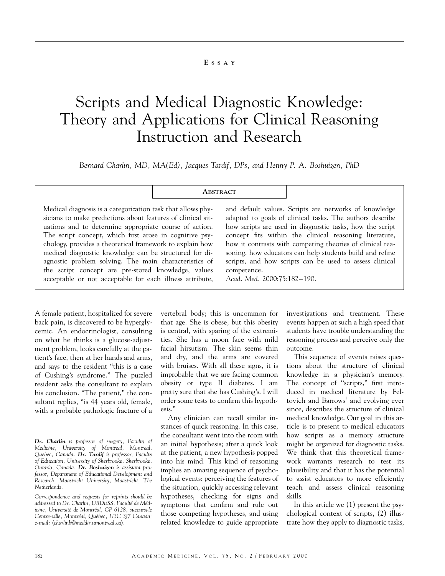# **E SSAY**

# Scripts and Medical Diagnostic Knowledge: Theory and Applications for Clinical Reasoning Instruction and Research

*Bernard Charlin, MD, MA(Ed), Jacques Tardif, DPs, and Henny P. A. Boshuizen, PhD*

# **ABSTRACT**

Medical diagnosis is a categorization task that allows physicians to make predictions about features of clinical situations and to determine appropriate course of action. The script concept, which first arose in cognitive psychology, provides a theoretical framework to explain how medical diagnostic knowledge can be structured for diagnostic problem solving. The main characteristics of the script concept are pre-stored knowledge, values acceptable or not acceptable for each illness attribute,

and default values. Scripts are networks of knowledge adapted to goals of clinical tasks. The authors describe how scripts are used in diagnostic tasks, how the script concept fits within the clinical reasoning literature, how it contrasts with competing theories of clinical reasoning, how educators can help students build and refine scripts, and how scripts can be used to assess clinical competence.

*Acad. Med.* 2000;75:182–190.

A female patient, hospitalized for severe back pain, is discovered to be hyperglycemic. An endocrinologist, consulting on what he thinks is a glucose-adjustment problem, looks carefully at the patient's face, then at her hands and arms, and says to the resident ''this is a case of Cushing's syndrome.'' The puzzled resident asks the consultant to explain his conclusion. "The patient," the consultant replies, "is 44 years old, female, with a probable pathologic fracture of a vertebral body; this is uncommon for that age. She is obese, but this obesity is central, with sparing of the extremities. She has a moon face with mild facial hirsutism. The skin seems thin and dry, and the arms are covered with bruises. With all these signs, it is improbable that we are facing common obesity or type II diabetes. I am pretty sure that she has Cushing's. I will order some tests to confirm this hypothesis.''

Any clinician can recall similar instances of quick reasoning. In this case, the consultant went into the room with an initial hypothesis; after a quick look at the patient, a new hypothesis popped into his mind. This kind of reasoning implies an amazing sequence of psychological events: perceiving the features of the situation, quickly accessing relevant hypotheses, checking for signs and symptoms that confirm and rule out those competing hypotheses, and using related knowledge to guide appropriate investigations and treatment. These events happen at such a high speed that students have trouble understanding the reasoning process and perceive only the outcome.

This sequence of events raises questions about the structure of clinical knowledge in a physician's memory. The concept of "scripts," first introduced in medical literature by Feltovich and  $Barrows<sup>1</sup>$  and evolving ever since, describes the structure of clinical medical knowledge. Our goal in this article is to present to medical educators how scripts as a memory structure might be organized for diagnostic tasks. We think that this theoretical framework warrants research to test its plausibility and that it has the potential to assist educators to more efficiently teach and assess clinical reasoning skills.

In this article we (1) present the psychological context of scripts, (2) illustrate how they apply to diagnostic tasks,

*Dr. Charlin is professor of surgery, Faculty of Medicine, University of Montreal, Montreal, Quebec, Canada. Dr. Tardif is professor, Faculty of Education, University of Sherbrooke, Sherbrooke, Ontario, Canada. Dr. Boshuizen is assistant professor, Department of Educational Development and Research, Maastricht University, Maastricht, The Netherlands.*

*Correspondence and requests for reprints should be* addressed to Dr. Charlin, URDESS, Faculté de Méd*icine, Universite´ de Montre´al, CP 6128, succursale Centre-ville, Montre´al, Que´bec, H3C 3J7 Canada; e-mail:* ^*charlinb@meddir.umontreal.ca*&*.*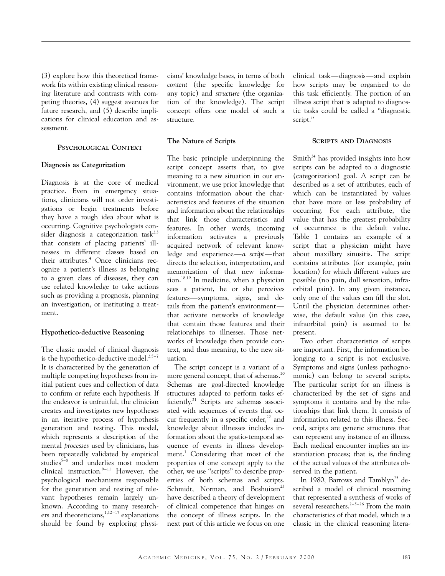(3) explore how this theoretical framework fits within existing clinical reasoning literature and contrasts with competing theories, (4) suggest avenues for future research, and (5) describe implications for clinical education and assessment.

#### **PSYCHOLOGICAL CONTEXT**

#### **Diagnosis as Categorization**

Diagnosis is at the core of medical practice. Even in emergency situations, clinicians will not order investigations or begin treatments before they have a rough idea about what is occurring. Cognitive psychologists consider diagnosis a categorization task<sup>2,3</sup> that consists of placing patients' illnesses in different classes based on their attributes.<sup>4</sup> Once clinicians recognize a patient's illness as belonging to a given class of diseases, they can use related knowledge to take actions such as providing a prognosis, planning an investigation, or instituting a treatment.

## **Hypothetico-deductive Reasoning**

The classic model of clinical diagnosis is the hypothetico-deductive model. $2,5-7$ It is characterized by the generation of multiple competing hypotheses from initial patient cues and collection of data to confirm or refute each hypothesis. If the endeavor is unfruitful, the clinician creates and investigates new hypotheses in an iterative process of hypothesis generation and testing. This model, which represents a description of the mental *processes* used by clinicians, has been repeatedly validated by empirical studies $5-8$  and underlies most modern clinical instruction. $9-11$  However, the psychological mechanisms responsible for the generation and testing of relevant hypotheses remain largely unknown. According to many researchers and theoreticians, $1,12-17$  explanations should be found by exploring physi-

cians' knowledge bases, in terms of both *content* (the specific knowledge for any topic) and *structure* (the organization of the knowledge). The script concept offers one model of such a structure.

## **The Nature of Scripts**

The basic principle underpinning the script concept asserts that, to give meaning to a new situation in our environment, we use prior knowledge that contains information about the characteristics and features of the situation and information about the relationships that link those characteristics and features. In other words, incoming information activates a previously acquired network of relevant knowledge and experience—*a script*—that directs the selection, interpretation, and memorization of that new information.18,19 In medicine, when a physician sees a patient, he or she perceives features—symptoms, signs, and details from the patient's environment that activate networks of knowledge that contain those features and their relationships to illnesses. Those networks of knowledge then provide context, and thus meaning, to the new situation.

The script concept is a variant of a more general concept, that of schemas.<sup>20</sup> Schemas are goal-directed knowledge structures adapted to perform tasks efficiently.21 Scripts are schemas associated with sequences of events that occur frequently in a specific order,<sup>22</sup> and knowledge about illnesses includes information about the spatio-temporal sequence of events in illness development.<sup>1</sup> Considering that most of the properties of one concept apply to the other, we use ''scripts'' to describe properties of both schemas and scripts. Schmidt, Norman, and Boshuizen<sup>23</sup> have described a theory of development of clinical competence that hinges on the concept of illness scripts. In the next part of this article we focus on one

clinical task—diagnosis—and explain how scripts may be organized to do this task efficiently. The portion of an illness script that is adapted to diagnostic tasks could be called a ''diagnostic script.''

# **SCRIPTS AND DIAGNOSIS**

Smith<sup>24</sup> has provided insights into how scripts can be adapted to a diagnostic (categorization) goal. A script can be described as a set of attributes, each of which can be instantiated by values that have more or less probability of occurring. For each attribute, the value that has the greatest probability of occurrence is the default value. Table 1 contains an example of a script that a physician might have about maxillary sinusitis. The script contains attributes (for example, pain location) for which different values are possible (no pain, dull sensation, infraorbital pain). In any given instance, only one of the values can fill the slot. Until the physician determines otherwise, the default value (in this case, infraorbital pain) is assumed to be present.

Two other characteristics of scripts are important. First, the information belonging to a script is not exclusive. Symptoms and signs (unless pathognomonic) can belong to several scripts. The particular script for an illness is characterized by the set of signs and symptoms it contains and by the relationships that link them. It consists of information related to this illness. Second, scripts are generic structures that can represent any instance of an illness. Each medical encounter implies an instantiation process; that is, the finding of the actual values of the attributes observed in the patient.

In 1980, Barrows and Tamblyn<sup>25</sup> described a model of clinical reasoning that represented a synthesis of works of several researchers.<sup>2–5–26</sup> From the main characteristics of that model, which is a classic in the clinical reasoning litera-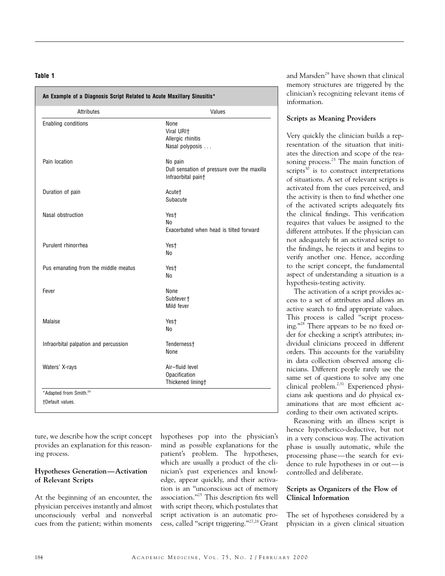#### **Table 1**

| <b>Attributes</b>                     | Values                                                                       |
|---------------------------------------|------------------------------------------------------------------------------|
| Enabling conditions                   | None<br>Viral URI <sup>+</sup><br>Allergic rhinitis<br>Nasal polyposis       |
| Pain location                         | No pain<br>Dull sensation of pressure over the maxilla<br>Infraorbital pain† |
| Duration of pain                      | Acute†<br>Subacute                                                           |
| Nasal obstruction                     | Yest<br><b>No</b><br>Exacerbated when head is tilted forward                 |
| Purulent rhinorrhea                   | Yest<br>No                                                                   |
| Pus emanating from the middle meatus  | Yes†<br>No                                                                   |
| Fever                                 | None<br>Subfever †<br>Mild fever                                             |
| Malaise                               | Yest<br>No                                                                   |
| Infraorbital palpation and percussion | Tenderness†<br>None                                                          |
| Waters' X-rays                        | Air-fluid level<br>Opacification<br>Thickened lining†                        |

ture, we describe how the script concept provides an explanation for this reasoning process.

# **Hypotheses Generation—Activation of Relevant Scripts**

At the beginning of an encounter, the physician perceives instantly and almost unconsciously verbal and nonverbal cues from the patient; within moments hypotheses pop into the physician's mind as possible explanations for the patient's problem. The hypotheses, which are usually a product of the clinician's past experiences and knowledge, appear quickly, and their activation is an ''unconscious act of memory association."<sup>25</sup> This description fits well with script theory, which postulates that script activation is an automatic process, called ''script triggering.''27,28 Grant and Marsden<sup>29</sup> have shown that clinical memory structures are triggered by the clinician's recognizing relevant items of information.

## **Scripts as Meaning Providers**

Very quickly the clinician builds a representation of the situation that initiates the direction and scope of the reasoning process.<sup>25</sup> The main function of scripts $30$  is to construct interpretations of situations. A set of relevant scripts is activated from the cues perceived, and the activity is then to find whether one of the activated scripts adequately fits the clinical findings. This verification requires that values be assigned to the different attributes. If the physician can not adequately fit an activated script to the findings, he rejects it and begins to verify another one. Hence, according to the script concept, the fundamental aspect of understanding a situation is a hypothesis-testing activity.

The activation of a script provides access to a set of attributes and allows an active search to find appropriate values. This process is called ''script processing.''28 There appears to be no fixed order for checking a script's attributes; individual clinicians proceed in different orders. This accounts for the variability in data collection observed among clinicians. Different people rarely use the same set of questions to solve any one clinical problem.<sup>2,31</sup> Experienced physicians ask questions and do physical examinations that are most efficient according to their own activated scripts.

Reasoning with an illness script is hence hypothetico-deductive, but not in a very conscious way. The activation phase is usually automatic, while the processing phase—the search for evidence to rule hypotheses in or out—is controlled and deliberate.

# **Scripts as Organizers of the Flow of Clinical Information**

The set of hypotheses considered by a physician in a given clinical situation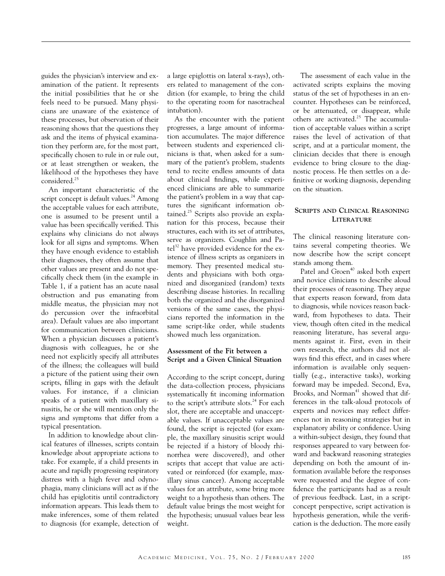guides the physician's interview and examination of the patient. It represents the initial possibilities that he or she feels need to be pursued. Many physicians are unaware of the existence of these processes, but observation of their reasoning shows that the questions they ask and the items of physical examination they perform are, for the most part, specifically chosen to rule in or rule out, or at least strengthen or weaken, the likelihood of the hypotheses they have considered.<sup>25</sup>

An important characteristic of the script concept is default values.<sup>24</sup> Among the acceptable values for each attribute, one is assumed to be present until a value has been specifically verified. This explains why clinicians do not always look for all signs and symptoms. When they have enough evidence to establish their diagnoses, they often assume that other values are present and do not specifically check them (in the example in Table 1, if a patient has an acute nasal obstruction and pus emanating from middle meatus, the physician may not do percussion over the infraorbital area). Default values are also important for communication between clinicians. When a physician discusses a patient's diagnosis with colleagues, he or she need not explicitly specify all attributes of the illness; the colleagues will build a picture of the patient using their own scripts, filling in gaps with the default values. For instance, if a clinician speaks of a patient with maxillary sinusitis, he or she will mention only the signs and symptoms that differ from a typical presentation.

In addition to knowledge about clinical features of illnesses, scripts contain knowledge about appropriate actions to take. For example, if a child presents in acute and rapidly progressing respiratory distress with a high fever and odynophagia, many clinicians will act as if the child has epiglotitis until contradictory information appears. This leads them to make inferences, some of them related to diagnosis (for example, detection of a large epiglottis on lateral x-rays), others related to management of the condition (for example, to bring the child to the operating room for nasotracheal intubation).

As the encounter with the patient progresses, a large amount of information accumulates. The major difference between students and experienced clinicians is that, when asked for a summary of the patient's problem, students tend to recite endless amounts of data about clinical findings, while experienced clinicians are able to summarize the patient's problem in a way that captures the significant information obtained.<sup>25</sup> Scripts also provide an explanation for this process, because their structures, each with its set of attributes, serve as organizers. Coughlin and Pa $tel<sup>32</sup>$  have provided evidence for the existence of illness scripts as organizers in memory. They presented medical students and physicians with both organized and disorganized (random) texts describing disease histories. In recalling both the organized and the disorganized versions of the same cases, the physicians reported the information in the same script-like order, while students showed much less organization.

# **Assessment of the Fit between a Script and a Given Clinical Situation**

According to the script concept, during the data-collection process, physicians systematically fit incoming information to the script's attribute slots.<sup>24</sup> For each slot, there are acceptable and unacceptable values. If unacceptable values are found, the script is rejected (for example, the maxillary sinusitis script would be rejected if a history of bloody rhinorrhea were discovered), and other scripts that accept that value are activated or reinforced (for example, maxillary sinus cancer). Among acceptable values for an attribute, some bring more weight to a hypothesis than others. The default value brings the most weight for the hypothesis; unusual values bear less weight.

The assessment of each value in the activated scripts explains the moving status of the set of hypotheses in an encounter. Hypotheses can be reinforced, or be attenuated, or disappear, while others are activated.<sup>25</sup> The accumulation of acceptable values within a script raises the level of activation of that script, and at a particular moment, the clinician decides that there is enough evidence to bring closure to the diagnostic process. He then settles on a definitive or working diagnosis, depending on the situation.

## **SCRIPTS AND CLINICAL REASONING LITERATURE**

The clinical reasoning literature contains several competing theories. We now describe how the script concept stands among them.

Patel and Groen<sup>40</sup> asked both expert and novice clinicians to describe aloud their processes of reasoning. They argue that experts reason forward, from data to diagnosis, while novices reason backward, from hypotheses to data. Their view, though often cited in the medical reasoning literature, has several arguments against it. First, even in their own research, the authors did not always find this effect, and in cases where information is available only sequentially (e.g., interactive tasks), working forward may be impeded. Second, Eva, Brooks, and Norman<sup>41</sup> showed that differences in the talk-aloud protocols of experts and novices may reflect differences not in reasoning strategies but in explanatory ability or confidence. Using a within-subject design, they found that responses appeared to vary between forward and backward reasoning strategies depending on both the amount of information available before the responses were requested and the degree of confidence the participants had as a result of previous feedback. Last, in a scriptconcept perspective, script activation is hypothesis generation, while the verification is the deduction. The more easily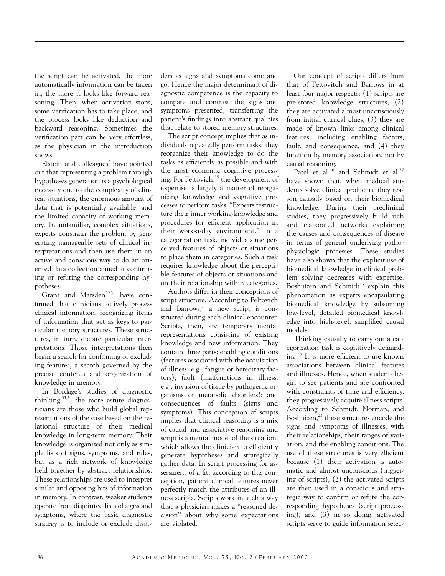the script can be activated, the more automatically information can be taken in, the more it looks like forward reasoning. Then, when activation stops, some verification has to take place, and the process looks like deduction and backward reasoning. Sometimes the verification part can be very effortless, as the physician in the introduction shows.

Elstein and colleagues<sup>2</sup> have pointed out that representing a problem through hypotheses generation is a psychological necessity due to the complexity of clinical situations, the enormous amount of data that is potentially available, and the limited capacity of working memory. In unfamiliar, complex situations, experts constrain the problem by generating manageable sets of clinical interpretations and then use them in an active and conscious way to do an oriented data collection aimed at confirming or refuting the corresponding hypotheses.

Grant and Marsden<sup>29,31</sup> have confirmed that clinicians actively process clinical information, recognizing items of information that act as keys to particular memory structures. These structures, in turn, dictate particular interpretations. Those interpretations then begin a search for confirming or excluding features, a search governed by the precise contents and organization of knowledge in memory.

In Bordage's studies of diagnostic thinking, $33,34$  the more astute diagnosticians are those who build global representations of the case based on the relational structure of their medical knowledge in long-term memory. Their knowledge is organized not only as simple lists of signs, symptoms, and rules, but as a rich network of knowledge held together by abstract relationships. These relationships are used to interpret similar and opposing bits of information in memory. In contrast, weaker students operate from disjointed lists of signs and symptoms, where the basic diagnostic strategy is to include or exclude disorders as signs and symptoms come and go. Hence the major determinant of diagnostic competence is the capacity to compare and contrast the signs and symptoms presented, transferring the patient's findings into abstract qualities that relate to stored memory structures.

The script concept implies that as individuals repeatedly perform tasks, they reorganize their knowledge to do the tasks as efficiently as possible and with the most economic cognitive processing. For Feltovich,<sup>35</sup> the development of expertise is largely a matter of reorganizing knowledge and cognitive processes to perform tasks. ''Experts restructure their inner working-knowledge and procedures for efficient application in their work-a-day environment.'' In a categorization task, individuals use perceived features of objects or situations to place them in categories. Such a task requires knowledge about the perceptible features of objects or situations and on their relationship within categories.

Authors differ in their conceptions of script structure. According to Feltovich and Barrows, $<sup>1</sup>$  a new script is con-</sup> structed during each clinical encounter. Scripts, then, are temporary mental representations consisting of existing knowledge and new information. They contain three parts: enabling conditions (features associated with the acquisition of illness, e.g., fatigue or hereditary factors); fault (malfunctions in illness, e.g., invasion of tissue by pathogenic organisms or metabolic disorders); and consequences of faults (signs and symptoms). This conception of scripts implies that clinical reasoning is a mix of causal and associative reasoning and script is a mental model of the situation, which allows the clinician to efficiently generate hypotheses and strategically gather data. In script processing for assessment of a fit, according to this conception, patient clinical features never perfectly match the attributes of an illness scripts. Scripts work in such a way that a physician makes a ''reasoned decision'' about why some expectations are violated.

Our concept of scripts differs from that of Feltovitch and Barrows in at least four major respects: (1) scripts are pre-stored knowledge structures, (2) they are activated almost unconsciously from initial clinical clues, (3) they are made of known links among clinical features, including enabling factors, fault, and consequence, and (4) they function by memory association, not by causal reasoning.

Patel et al.<sup>36</sup> and Schmidt et al.<sup>37</sup> have shown that, when medical students solve clinical problems, they reason causally based on their biomedical knowledge. During their preclinical studies, they progressively build rich and elaborated networks explaining the causes and consequences of disease in terms of general underlying pathophysiologic processes. These studies have also shown that the explicit use of biomedical knowledge in clinical problem solving decreases with expertise. Boshuizen and Schmidt<sup>13</sup> explain this phenomenon as experts encapsulating biomedical knowledge by subsuming low-level, detailed biomedical knowledge into high-level, simplified causal models.

Thinking causally to carry out a categorization task is cognitively demanding.43 It is more efficient to use known associations between clinical features and illnesses. Hence, when students begin to see patients and are confronted with constraints of time and efficiency, they progressively acquire illness scripts. According to Schmidt, Norman, and Boshuizen,<sup>23</sup> these structures encode the signs and symptoms of illnesses, with their relationships, their ranges of variation, and the enabling conditions. The use of these structures is very efficient because (1) their activation is automatic and almost unconscious (triggering of scripts), (2) the activated scripts are then used in a conscious and strategic way to confirm or refute the corresponding hypotheses (script processing), and (3) in so doing, activated scripts serve to guide information selec-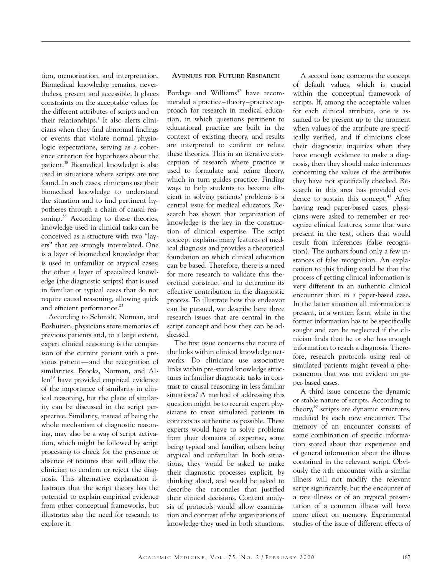tion, memorization, and interpretation. Biomedical knowledge remains, nevertheless, present and accessible. It places constraints on the acceptable values for the different attributes of scripts and on their relationships.<sup>1</sup> It also alerts clinicians when they find abnormal findings or events that violate normal physiologic expectations, serving as a coherence criterion for hypotheses about the patient.38 Biomedical knowledge is also used in situations where scripts are not found. In such cases, clinicians use their biomedical knowledge to understand the situation and to find pertinent hypotheses through a chain of causal reasoning.<sup>38</sup> According to these theories, knowledge used in clinical tasks can be conceived as a structure with two ''layers'' that are strongly interrelated. One is a layer of biomedical knowledge that is used in unfamiliar or atypical cases; the other a layer of specialized knowledge (the diagnostic scripts) that is used in familiar or typical cases that do not require causal reasoning, allowing quick and efficient performance.<sup>23</sup>

According to Schmidt, Norman, and Boshuizen, physicians store memories of previous patients and, to a large extent, expert clinical reasoning is the comparison of the current patient with a previous patient—and the recognition of similarities. Brooks, Norman, and Allen<sup>39</sup> have provided empirical evidence of the importance of similarity in clinical reasoning, but the place of similarity can be discussed in the script perspective. Similarity, instead of being the whole mechanism of diagnostic reasoning, may also be a way of script activation, which might be followed by script processing to check for the presence or absence of features that will allow the clinician to confirm or reject the diagnosis. This alternative explanation illustrates that the script theory has the potential to explain empirical evidence from other conceptual frameworks, but illustrates also the need for research to explore it.

# **AVENUES FOR FUTURE RESEARCH**

Bordage and Williams<sup>42</sup> have recommended a practice–theory–practice approach for research in medical education, in which questions pertinent to educational practice are built in the context of existing theory, and results are interpreted to confirm or refute these theories. This in an iterative conception of research where practice is used to formulate and refine theory, which in turn guides practice. Finding ways to help students to become efficient in solving patients' problems is a central issue for medical educators. Research has shown that organization of knowledge is the key in the construction of clinical expertise. The script concept explains many features of medical diagnosis and provides a theoretical foundation on which clinical education can be based. Therefore, there is a need for more research to validate this theoretical construct and to determine its effective contribution in the diagnostic process. To illustrate how this endeavor can be pursued, we describe here three research issues that are central in the script concept and how they can be addressed.

The first issue concerns the nature of the links within clinical knowledge networks. Do clinicians use associative links within pre-stored knowledge structures in familiar diagnostic tasks in contrast to causal reasoning in less familiar situations? A method of addressing this question might be to recruit expert physicians to treat simulated patients in contexts as authentic as possible. These experts would have to solve problems from their domains of expertise, some being typical and familiar, others being atypical and unfamiliar. In both situations, they would be asked to make their diagnostic processes explicit, by thinking aloud, and would be asked to describe the rationales that justified their clinical decisions. Content analysis of protocols would allow examination and contrast of the organizations of knowledge they used in both situations.

A second issue concerns the concept of default values, which is crucial within the conceptual framework of scripts. If, among the acceptable values for each clinical attribute, one is assumed to be present up to the moment when values of the attribute are specifically verified, and if clinicians close their diagnostic inquiries when they have enough evidence to make a diagnosis, then they should make inferences concerning the values of the attributes they have not specifically checked. Research in this area has provided evidence to sustain this concept.<sup>43</sup> After having read paper-based cases, physicians were asked to remember or recognize clinical features, some that were present in the text, others that would result from inferences (false recognition). The authors found only a few instances of false recognition. An explanation to this finding could be that the process of getting clinical information is very different in an authentic clinical encounter than in a paper-based case. In the latter situation all information is present, in a written form, while in the former information has to be specifically sought and can be neglected if the clinician finds that he or she has enough information to reach a diagnosis. Therefore, research protocols using real or simulated patients might reveal a phenomenon that was not evident on paper-based cases.

A third issue concerns the dynamic or stable nature of scripts. According to theory, $30$  scripts are dynamic structures, modified by each new encounter. The memory of an encounter consists of some combination of specific information stored about that experience and of general information about the illness contained in the relevant script. Obviously the *n*th encounter with a similar illness will not modify the relevant script significantly, but the encounter of a rare illness or of an atypical presentation of a common illness will have more effect on memory. Experimental studies of the issue of different effects of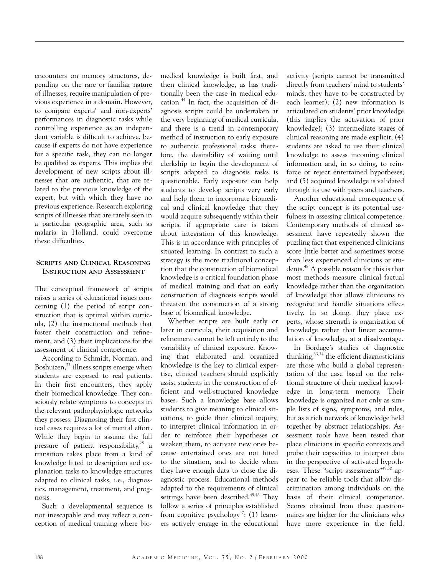encounters on memory structures, depending on the rare or familiar nature of illnesses, require manipulation of previous experience in a domain. However, to compare experts' and non-experts' performances in diagnostic tasks while controlling experience as an independent variable is difficult to achieve, because if experts do not have experience for a specific task, they can no longer be qualified as experts. This implies the development of new scripts about illnesses that are authentic, that are related to the previous knowledge of the expert, but with which they have no previous experience. Research exploring scripts of illnesses that are rarely seen in a particular geographic area, such as malaria in Holland, could overcome these difficulties.

# **SCRIPTS AND CLINICAL REASONING INSTRUCTION AND ASSESSMENT**

The conceptual framework of scripts raises a series of educational issues concerning (1) the period of script construction that is optimal within curricula, (2) the instructional methods that foster their construction and refinement, and (3) their implications for the assessment of clinical competence.

According to Schmidt, Norman, and Boshuizen, $^{23}$  illness scripts emerge when students are exposed to real patients. In their first encounters, they apply their biomedical knowledge. They consciously relate symptoms to concepts in the relevant pathophysiologic networks they possess. Diagnosing their first clinical cases requires a lot of mental effort. While they begin to assume the full pressure of patient responsibility,  $2^5$  a transition takes place from a kind of knowledge fitted to description and explanation tasks to knowledge structures adapted to clinical tasks, i.e., diagnostics, management, treatment, and prognosis.

Such a developmental sequence is not inescapable and may reflect a conception of medical training where biomedical knowledge is built first, and then clinical knowledge, as has traditionally been the case in medical education.<sup>44</sup> In fact, the acquisition of diagnosis scripts could be undertaken at the very beginning of medical curricula, and there is a trend in contemporary method of instruction to early exposure to authentic professional tasks; therefore, the desirability of waiting until clerkship to begin the development of scripts adapted to diagnosis tasks is questionable. Early exposure can help students to develop scripts very early and help them to incorporate biomedical and clinical knowledge that they would acquire subsequently within their scripts, if appropriate care is taken about integration of this knowledge. This is in accordance with principles of situated learning. In contrast to such a strategy is the more traditional conception that the construction of biomedical knowledge is a critical foundation phase of medical training and that an early construction of diagnosis scripts would threaten the construction of a strong base of biomedical knowledge.

Whether scripts are built early or later in curricula, their acquisition and refinement cannot be left entirely to the variability of clinical exposure. Knowing that elaborated and organized knowledge is the key to clinical expertise, clinical teachers should explicitly assist students in the construction of efficient and well-structured knowledge bases. Such a knowledge base allows students to give meaning to clinical situations, to guide their clinical inquiry, to interpret clinical information in order to reinforce their hypotheses or weaken them, to activate new ones because entertained ones are not fitted to the situation, and to decide when they have enough data to close the diagnostic process. Educational methods adapted to the requirements of clinical settings have been described.<sup>45,46</sup> They follow a series of principles established from cognitive psychology<sup>47</sup>:  $(1)$  learners actively engage in the educational activity (scripts cannot be transmitted directly from teachers' mind to students' minds; they have to be constructed by each learner); (2) new information is articulated on students' prior knowledge (this implies the activation of prior knowledge); (3) intermediate stages of clinical reasoning are made explicit; (4) students are asked to use their clinical knowledge to assess incoming clinical information and, in so doing, to reinforce or reject entertained hypotheses; and (5) acquired knowledge is validated through its use with peers and teachers.

Another educational consequence of the script concept is its potential usefulness in assessing clinical competence. Contemporary methods of clinical assessment have repeatedly shown the puzzling fact that experienced clinicians score little better and sometimes worse than less experienced clinicians or students.48 A possible reason for this is that most methods measure clinical factual knowledge rather than the organization of knowledge that allows clinicians to recognize and handle situations effectively. In so doing, they place experts, whose strength is organization of knowledge rather that linear accumulation of knowledge, at a disadvantage.

In Bordage's studies of diagnostic thinking, $33,34$  the efficient diagnosticians are those who build a global representation of the case based on the relational structure of their medical knowledge in long-term memory. Their knowledge is organized not only as simple lists of signs, symptoms, and rules, but as a rich network of knowledge held together by abstract relationships. Assessment tools have been tested that place clinicians in specific contexts and probe their capacities to interpret data in the perspective of activated hypotheses. These "script assessments"<sup>49,50</sup> appear to be reliable tools that allow discrimination among individuals on the basis of their clinical competence. Scores obtained from these questionnaires are higher for the clinicians who have more experience in the field,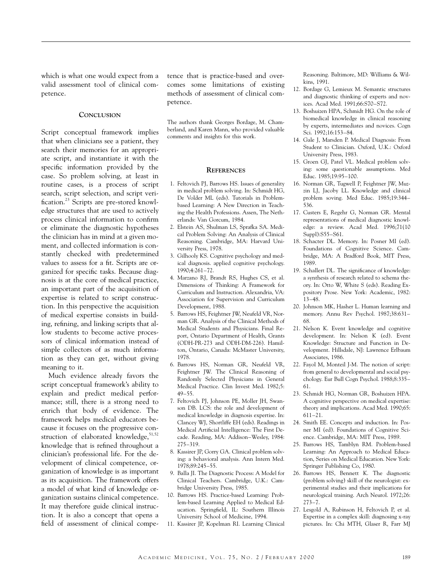which is what one would expect from a valid assessment tool of clinical competence.

#### **CONCLUSION**

Script conceptual framework implies that when clinicians see a patient, they search their memories for an appropriate script, and instantiate it with the specific information provided by the case. So problem solving, at least in routine cases, is a process of script search, script selection, and script verification.<sup>23</sup> Scripts are pre-stored knowledge structures that are used to actively process clinical information to confirm or eliminate the diagnostic hypotheses the clinician has in mind at a given moment, and collected information is constantly checked with predetermined values to assess for a fit. Scripts are organized for specific tasks. Because diagnosis is at the core of medical practice, an important part of the acquisition of expertise is related to script construction. In this perspective the acquisition of medical expertise consists in building, refining, and linking scripts that allow students to become active processors of clinical information instead of simple collectors of as much information as they can get, without giving meaning to it.

Much evidence already favors the script conceptual framework's ability to explain and predict medical performance; still, there is a strong need to enrich that body of evidence. The framework helps medical educators because it focuses on the progressive construction of elaborated knowledge,<sup>51,52</sup> knowledge that is refined throughout a clinician's professional life. For the development of clinical competence, organization of knowledge is as important as its acquisition. The framework offers a model of what kind of knowledge organization sustains clinical competence. It may therefore guide clinical instruction. It is also a concept that opens a field of assessment of clinical competence that is practice-based and overcomes some limitations of existing methods of assessment of clinical competence.

The authors thank Georges Bordage, M. Chamberland, and Karen Mann, who provided valuable comments and insights for this work.

#### **REFERENCES**

- 1. Feltovich PJ, Barrows HS. Issues of generality in medical problem solving. In: Schmidt HG, De Volder ML (eds). Tutorials in Problembased Learning: A New Direction in Teaching the Health Professions. Assen, The Netherlands: Van Gorcum, 1984.
- 2. Elstein AS, Shulman LS, Sprafka SA. Medical Problem Solving: An Analysis of Clinical Reasoning. Cambridge, MA: Harvard University Press, 1978.
- 3. Gilhooly KS. Cognitive psychology and medical diagnosis. applied cognitive psychology. 1990;4:261–72.
- 4. Marzano RJ, Brandt RS, Hughes CS, et al. Dimensions of Thinking: A Framework for Curriculum and Instruction. Alexandria, VA: Association for Supervision and Curriculum Development, 1988.
- 5. Barrows HS, Feightner JW, Neufeld VR, Norman GR. Analysis of the Clinical Methods of Medical Students and Physicians. Final Report, Ontario Department of Health, Grants (ODH-PR-273 and ODH-DM-226). Hamilton, Ontario, Canada: McMaster University, 1978.
- 6. Barrows HS, Norman GR, Neufeld VR, Feightner JW. The Clinical Reasoning of Randomly Selected Physicians in General Medical Practice. Clin Invest Med. 1982;5: 49–55.
- 7. Feltovich PJ, Johnson PE, Moller JH, Swanson DB. LCS: the role and development of medical knowledge in diagnosis expertise. In: Clancey WJ, Shortliffe EH (eds). Readings in Medical Artificial Intelligence: The First Decade. Reading, MA: Addison–Wesley, 1984: 275–319.
- 8. Kassirer JP, Gorry GA. Clinical problem solving: a behavioral analysis. Ann Intern Med. 1978;89:245–55.
- 9. Balla JI. The Diagnostic Process: A Model for Clinical Teachers. Cambridge, U.K.: Cambridge University Press, 1985.
- 10. Barrows HS. Practice-based Learning: Problem-based Learning Applied to Medical Education. Springfield, IL: Southern Illinois University School of Medicine, 1994.
- 11. Kassirer JP, Kopelman RI. Learning Clinical

Reasoning. Baltimore, MD: Williams & Wilkins, 1991.

- 12. Bordage G, Lemieux M. Semantic structures and diagnostic thinking of experts and novices. Acad Med. 1991;66:S70–S72.
- 13. Boshuizen HPA, Schmidt HG. On the role of biomedical knowledge in clinical reasoning by experts, intermediates and novices. Cogn Sci. 1992;16:153–84.
- 14. Gale J, Marsden P. Medical Diagnosis: From Student to Clinician. Oxford, U.K.: Oxford University Press, 1983.
- 15. Groen GJ, Patel VL. Medical problem solving: some questionable assumptions. Med Educ. 1985;19:95–100.
- 16. Norman GR, Tugwell P, Feightner JW, Muzzin LJ, Jacoby LL. Knowledge and clinical problem soving. Med Educ. 1985;19:344– 536.
- 17. Custers E, Regehr G, Norman GR. Mental representations of medical diagnostic knowledge: a review. Acad Med. 1996;71(10 Suppl):S55–S61.
- 18. Schacter DL. Memory. In: Posner MI (ed). Foundations of Cognitive Science. Cambridge, MA: A Bradford Book, MIT Press, 1989.
- 19. Schallert DL. The significance of knowledge: a synthesis of research related to schema theory. In: Otto W, White S (eds). Reading Expository Prose. New York: Academic, 1982: 13–48.
- 20. Johnson MK, Hasher L. Human learning and memory. Annu Rev Psychol. 1987;38:631– 68.
- 21. Nelson K. Event knowledge and cognitive development. In: Nelson K (ed). Event Knowledge: Structure and Function in Development. Hillsdale, NJ: Lawrence Erlbaum Associates, 1986.
- 22. Fayol M, Monteil J-M. The notion of script: from general to developmental and social psychology. Eur Bull Cogn Psychol. 1988;8:335– 61.
- 23. Schmidt HG, Norman GR, Boshuizen HPA. A cognitive perspective on medical expertise: theory and implications. Acad Med. 1990;65: 611–21.
- 24. Smith EE. Concepts and induction. In: Posner MI (ed). Foundations of Cognitive Science. Cambridge, MA: MIT Press, 1989.
- 25. Barrows HS, Tamblyn RM. Problem-based Learning: An Approach to Medical Education, Series on Medical Education. New York: Springer Publishing Co, 1980.
- 26. Barrows HS, Bennett K. The diagnostic (problem solving) skill of the neurologist: experimental studies and their implications for neurological training. Arch Neurol. 1972;26: 273–7.
- 27. Lesgold A, Rubinson H, Feltovich P, et al. Expertise in a complex skill: diagnosing x-ray pictures. In: Chi MTH, Glaser R, Farr MJ